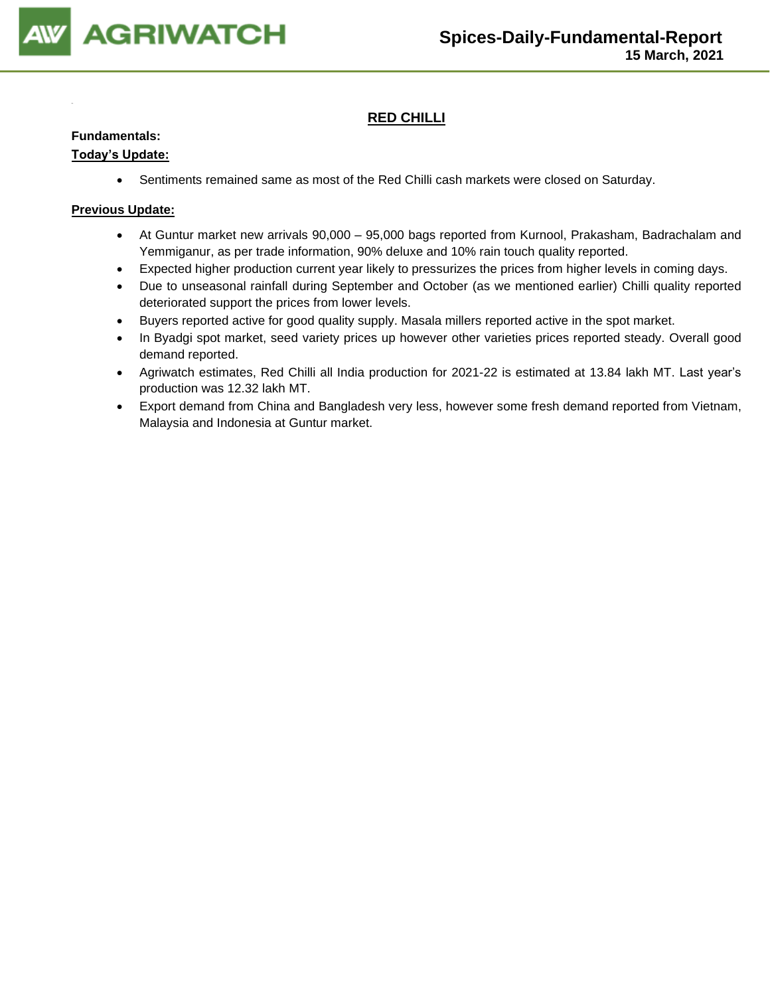

### **RED CHILLI**

### **Fundamentals:**

### **Today's Update:**

• Sentiments remained same as most of the Red Chilli cash markets were closed on Saturday.

- At Guntur market new arrivals 90,000 95,000 bags reported from Kurnool, Prakasham, Badrachalam and Yemmiganur, as per trade information, 90% deluxe and 10% rain touch quality reported.
- Expected higher production current year likely to pressurizes the prices from higher levels in coming days.
- Due to unseasonal rainfall during September and October (as we mentioned earlier) Chilli quality reported deteriorated support the prices from lower levels.
- Buyers reported active for good quality supply. Masala millers reported active in the spot market.
- In Byadgi spot market, seed variety prices up however other varieties prices reported steady. Overall good demand reported.
- Agriwatch estimates, Red Chilli all India production for 2021-22 is estimated at 13.84 lakh MT. Last year's production was 12.32 lakh MT.
- Export demand from China and Bangladesh very less, however some fresh demand reported from Vietnam, Malaysia and Indonesia at Guntur market.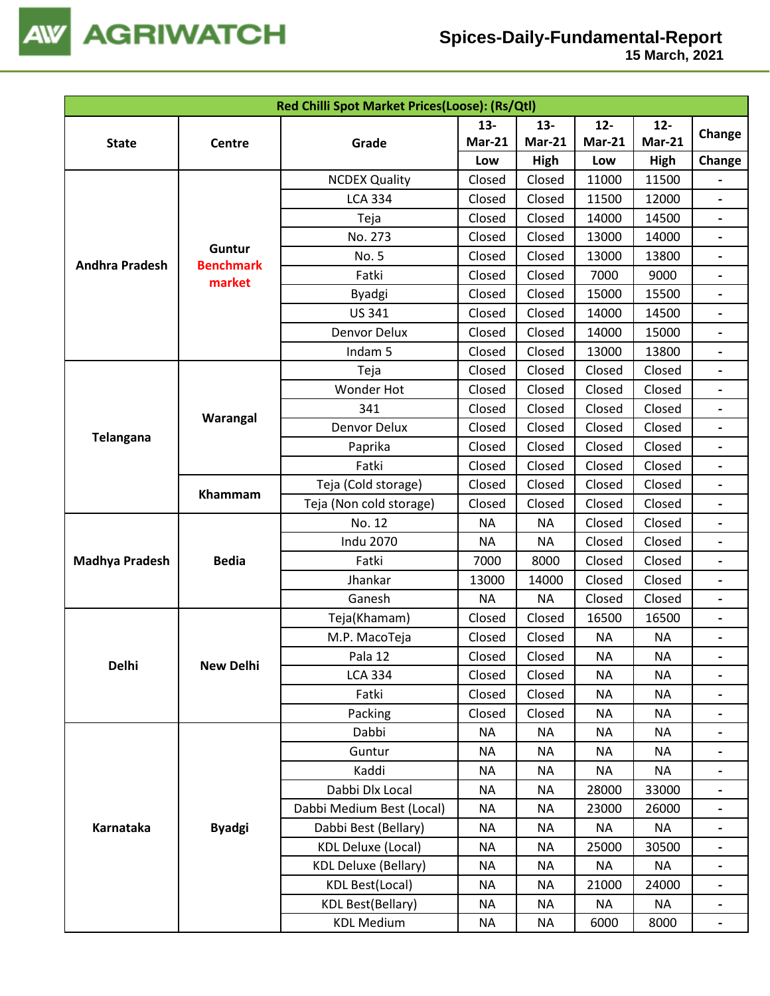

| Red Chilli Spot Market Prices(Loose): (Rs/Qtl) |                            |                             |               |               |               |               |                          |
|------------------------------------------------|----------------------------|-----------------------------|---------------|---------------|---------------|---------------|--------------------------|
|                                                |                            |                             | $13 -$        | $13 -$        | $12-$         | $12 -$        |                          |
| <b>State</b>                                   | Centre                     | Grade                       | <b>Mar-21</b> | <b>Mar-21</b> | <b>Mar-21</b> | <b>Mar-21</b> | Change                   |
|                                                |                            |                             | Low           | High          | Low           | High          | Change                   |
|                                                |                            | <b>NCDEX Quality</b>        | Closed        | Closed        | 11000         | 11500         |                          |
|                                                |                            | <b>LCA 334</b>              | Closed        | Closed        | 11500         | 12000         | $\overline{\phantom{0}}$ |
|                                                |                            | Teja                        | Closed        | Closed        | 14000         | 14500         |                          |
|                                                |                            | No. 273                     | Closed        | Closed        | 13000         | 14000         |                          |
| <b>Andhra Pradesh</b>                          | Guntur<br><b>Benchmark</b> | No. 5                       | Closed        | Closed        | 13000         | 13800         |                          |
|                                                | market                     | Fatki                       | Closed        | Closed        | 7000          | 9000          | $\blacksquare$           |
|                                                |                            | Byadgi                      | Closed        | Closed        | 15000         | 15500         |                          |
|                                                |                            | <b>US 341</b>               | Closed        | Closed        | 14000         | 14500         | $\overline{\phantom{a}}$ |
|                                                |                            | Denvor Delux                | Closed        | Closed        | 14000         | 15000         |                          |
|                                                |                            | Indam 5                     | Closed        | Closed        | 13000         | 13800         |                          |
|                                                |                            | Teja                        | Closed        | Closed        | Closed        | Closed        |                          |
|                                                |                            | <b>Wonder Hot</b>           | Closed        | Closed        | Closed        | Closed        |                          |
|                                                |                            | 341                         | Closed        | Closed        | Closed        | Closed        |                          |
|                                                | Warangal                   | Denvor Delux                | Closed        | Closed        | Closed        | Closed        |                          |
| Telangana                                      |                            | Paprika                     | Closed        | Closed        | Closed        | Closed        |                          |
|                                                |                            | Fatki                       | Closed        | Closed        | Closed        | Closed        |                          |
|                                                | Khammam                    | Teja (Cold storage)         | Closed        | Closed        | Closed        | Closed        | $\overline{\phantom{a}}$ |
|                                                |                            | Teja (Non cold storage)     | Closed        | Closed        | Closed        | Closed        |                          |
|                                                |                            | No. 12                      | ΝA            | ΝA            | Closed        | Closed        |                          |
|                                                |                            | <b>Indu 2070</b>            | <b>NA</b>     | <b>NA</b>     | Closed        | Closed        |                          |
| <b>Madhya Pradesh</b>                          | <b>Bedia</b>               | Fatki                       | 7000          | 8000          | Closed        | Closed        | $\overline{\phantom{a}}$ |
|                                                |                            | Jhankar                     | 13000         | 14000         | Closed        | Closed        |                          |
|                                                |                            | Ganesh                      | <b>NA</b>     | <b>NA</b>     | Closed        | Closed        |                          |
|                                                |                            | Teja(Khamam)                | Closed        | Closed        | 16500         | 16500         |                          |
|                                                |                            | M.P. MacoTeja               | Closed        | Closed        | <b>NA</b>     | <b>NA</b>     | $\blacksquare$           |
|                                                |                            | Pala 12                     | Closed        | Closed        | <b>NA</b>     | <b>NA</b>     |                          |
| <b>Delhi</b>                                   | <b>New Delhi</b>           | <b>LCA 334</b>              | Closed        | Closed        | <b>NA</b>     | <b>NA</b>     |                          |
|                                                |                            | Fatki                       | Closed        | Closed        | <b>NA</b>     | <b>NA</b>     |                          |
|                                                |                            | Packing                     | Closed        | Closed        | <b>NA</b>     | <b>NA</b>     |                          |
|                                                |                            | Dabbi                       | <b>NA</b>     | NA            | <b>NA</b>     | <b>NA</b>     |                          |
|                                                |                            | Guntur                      | <b>NA</b>     | NA            | <b>NA</b>     | <b>NA</b>     |                          |
|                                                |                            | Kaddi                       | <b>NA</b>     | NA            | <b>NA</b>     | <b>NA</b>     |                          |
|                                                |                            | Dabbi Dlx Local             | <b>NA</b>     | NA            | 28000         | 33000         |                          |
|                                                |                            | Dabbi Medium Best (Local)   | <b>NA</b>     | ΝA            | 23000         | 26000         |                          |
| Karnataka                                      | <b>Byadgi</b>              | Dabbi Best (Bellary)        | <b>NA</b>     | NA            | <b>NA</b>     | <b>NA</b>     |                          |
|                                                |                            | <b>KDL Deluxe (Local)</b>   | ΝA            | NA            | 25000         | 30500         |                          |
|                                                |                            | <b>KDL Deluxe (Bellary)</b> | ΝA            | ΝA            | <b>NA</b>     | <b>NA</b>     |                          |
|                                                |                            | <b>KDL Best(Local)</b>      | ΝA            | ΝA            | 21000         | 24000         | $\overline{\phantom{0}}$ |
|                                                |                            | KDL Best(Bellary)           | ΝA            | ΝA            | <b>NA</b>     | ΝA            |                          |
|                                                |                            | <b>KDL Medium</b>           | ΝA            | ΝA            | 6000          | 8000          |                          |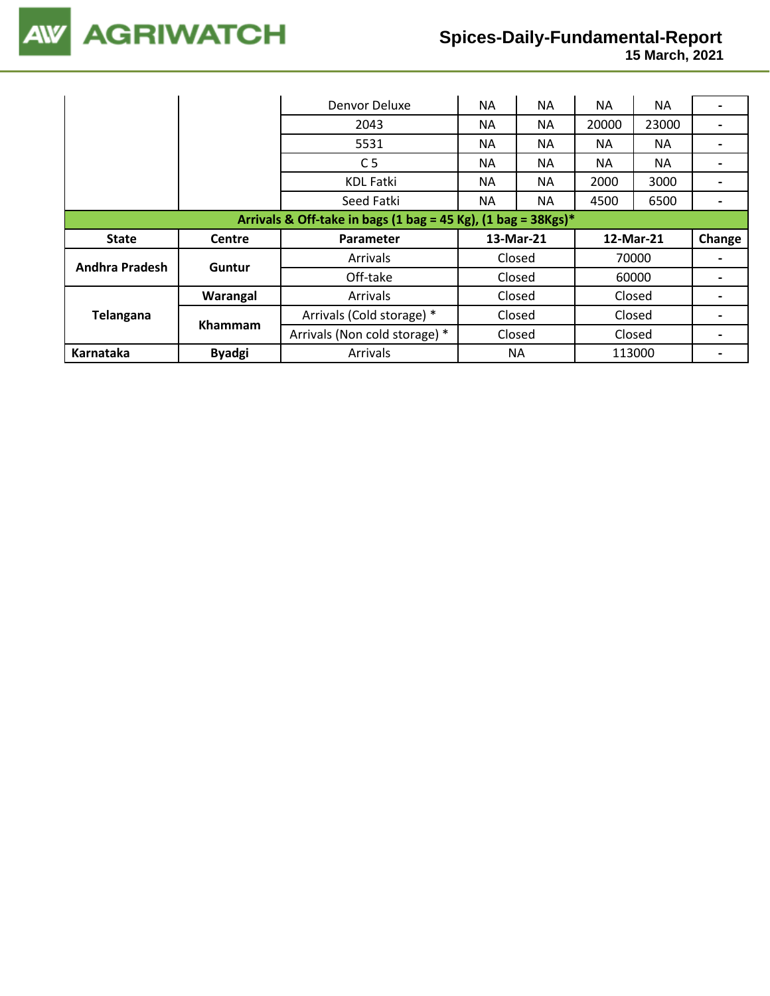

 **15 March, 2021**

|                                                                  |                | Denvor Deluxe                 | <b>NA</b> | <b>NA</b> | ΝA    | NA.       |        |
|------------------------------------------------------------------|----------------|-------------------------------|-----------|-----------|-------|-----------|--------|
|                                                                  |                | 2043                          | <b>NA</b> | <b>NA</b> | 20000 | 23000     |        |
|                                                                  |                | 5531                          | <b>NA</b> | NА        | NА    | NA.       |        |
|                                                                  |                | C <sub>5</sub>                | <b>NA</b> | <b>NA</b> | NA    | <b>NA</b> |        |
|                                                                  |                | <b>KDL Fatki</b>              | NA.       | <b>NA</b> | 2000  | 3000      |        |
|                                                                  |                | Seed Fatki                    | <b>NA</b> | <b>NA</b> | 4500  | 6500      |        |
| Arrivals & Off-take in bags (1 bag = 45 Kg), (1 bag = $38Kgs$ )* |                |                               |           |           |       |           |        |
|                                                                  |                |                               |           |           |       |           |        |
| <b>State</b>                                                     | <b>Centre</b>  | <b>Parameter</b>              | 13-Mar-21 |           |       | 12-Mar-21 | Change |
|                                                                  |                | <b>Arrivals</b>               | Closed    |           |       | 70000     |        |
| <b>Andhra Pradesh</b>                                            | Guntur         | Off-take                      | Closed    |           |       | 60000     |        |
|                                                                  | Warangal       | Arrivals                      | Closed    |           |       | Closed    |        |
| Telangana                                                        |                | Arrivals (Cold storage) *     | Closed    |           |       | Closed    |        |
|                                                                  | <b>Khammam</b> | Arrivals (Non cold storage) * | Closed    |           |       | Closed    |        |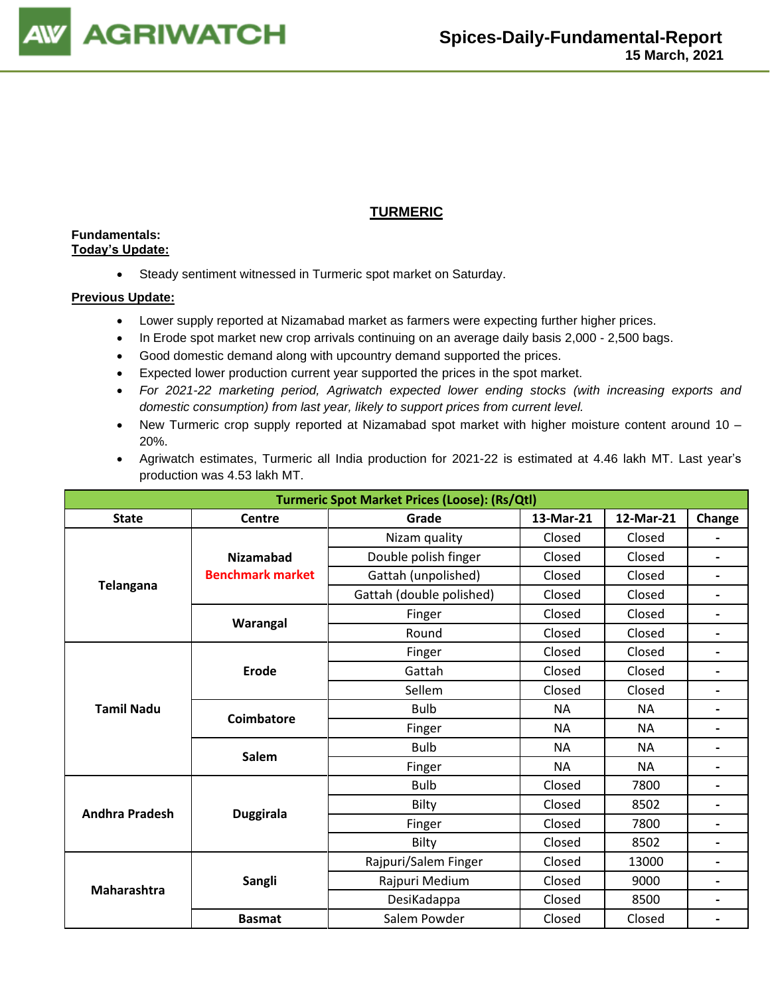

### **TURMERIC**

### **Fundamentals: Today's Update:**

• Steady sentiment witnessed in Turmeric spot market on Saturday.

- Lower supply reported at Nizamabad market as farmers were expecting further higher prices.
- In Erode spot market new crop arrivals continuing on an average daily basis 2,000 2,500 bags.
- Good domestic demand along with upcountry demand supported the prices.
- Expected lower production current year supported the prices in the spot market.
- *For 2021-22 marketing period, Agriwatch expected lower ending stocks (with increasing exports and domestic consumption) from last year, likely to support prices from current level.*
- New Turmeric crop supply reported at Nizamabad spot market with higher moisture content around 10 20%.
- Agriwatch estimates, Turmeric all India production for 2021-22 is estimated at 4.46 lakh MT. Last year's production was 4.53 lakh MT.

| <b>Turmeric Spot Market Prices (Loose): (Rs/Qtl)</b> |                         |                          |           |           |                          |  |  |
|------------------------------------------------------|-------------------------|--------------------------|-----------|-----------|--------------------------|--|--|
| <b>State</b>                                         | <b>Centre</b>           | Grade                    | 13-Mar-21 | 12-Mar-21 | Change                   |  |  |
|                                                      |                         | Nizam quality            | Closed    | Closed    | $\overline{\phantom{0}}$ |  |  |
|                                                      | <b>Nizamabad</b>        | Double polish finger     | Closed    | Closed    | $\blacksquare$           |  |  |
|                                                      | <b>Benchmark market</b> | Gattah (unpolished)      | Closed    | Closed    | $\blacksquare$           |  |  |
| <b>Telangana</b>                                     |                         | Gattah (double polished) | Closed    | Closed    |                          |  |  |
|                                                      |                         | Finger                   | Closed    | Closed    | $\blacksquare$           |  |  |
|                                                      | Warangal                | Round                    | Closed    | Closed    | $\overline{\phantom{a}}$ |  |  |
|                                                      |                         | Finger                   | Closed    | Closed    | $\overline{\phantom{0}}$ |  |  |
|                                                      | Erode                   | Gattah                   | Closed    | Closed    |                          |  |  |
|                                                      |                         | Sellem                   | Closed    | Closed    | $\blacksquare$           |  |  |
| <b>Tamil Nadu</b>                                    |                         | <b>Bulb</b>              | <b>NA</b> | <b>NA</b> | $\overline{\phantom{a}}$ |  |  |
|                                                      | <b>Coimbatore</b>       | Finger                   | <b>NA</b> | <b>NA</b> |                          |  |  |
|                                                      | <b>Salem</b>            | <b>Bulb</b>              | <b>NA</b> | <b>NA</b> | $\overline{a}$           |  |  |
|                                                      |                         | Finger                   | <b>NA</b> | <b>NA</b> | $\blacksquare$           |  |  |
|                                                      |                         | <b>Bulb</b>              | Closed    | 7800      | $\blacksquare$           |  |  |
| <b>Andhra Pradesh</b>                                |                         | Bilty                    | Closed    | 8502      | $\overline{\phantom{0}}$ |  |  |
|                                                      | <b>Duggirala</b>        | Finger                   | Closed    | 7800      |                          |  |  |
|                                                      |                         | Bilty                    | Closed    | 8502      | $\blacksquare$           |  |  |
|                                                      |                         | Rajpuri/Salem Finger     | Closed    | 13000     | $\overline{\phantom{a}}$ |  |  |
| Maharashtra                                          | <b>Sangli</b>           | Rajpuri Medium           | Closed    | 9000      |                          |  |  |
|                                                      |                         | DesiKadappa              | Closed    | 8500      | -                        |  |  |
|                                                      | <b>Basmat</b>           | Salem Powder             | Closed    | Closed    | $\blacksquare$           |  |  |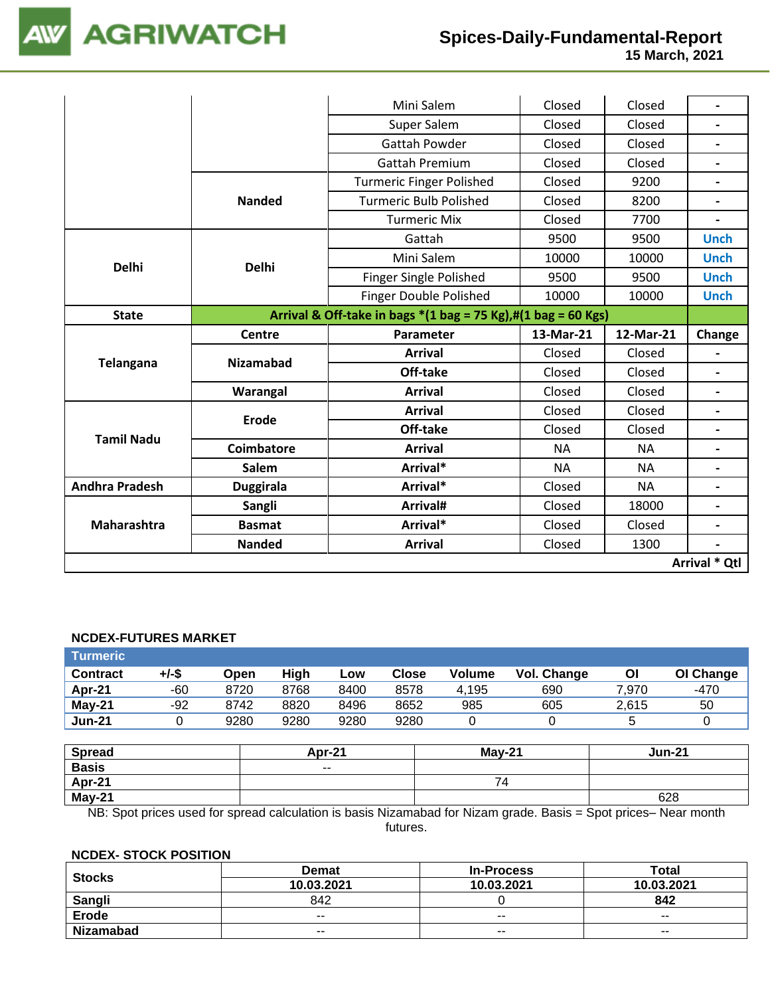

 **15 March, 2021**

|                       |                   | Mini Salem                                                                                      | Closed    | Closed    |                          |
|-----------------------|-------------------|-------------------------------------------------------------------------------------------------|-----------|-----------|--------------------------|
|                       |                   | Super Salem                                                                                     | Closed    | Closed    |                          |
|                       |                   | <b>Gattah Powder</b>                                                                            | Closed    | Closed    |                          |
|                       |                   | Gattah Premium                                                                                  | Closed    | Closed    | $\blacksquare$           |
|                       |                   | <b>Turmeric Finger Polished</b>                                                                 | Closed    | 9200      | $\overline{\phantom{0}}$ |
|                       | <b>Nanded</b>     | <b>Turmeric Bulb Polished</b>                                                                   | Closed    | 8200      | $\overline{\phantom{a}}$ |
|                       |                   | <b>Turmeric Mix</b>                                                                             | Closed    | 7700      | $\overline{\phantom{0}}$ |
|                       |                   | Gattah                                                                                          | 9500      | 9500      | <b>Unch</b>              |
| <b>Delhi</b>          | <b>Delhi</b>      | Mini Salem                                                                                      | 10000     | 10000     | <b>Unch</b>              |
|                       |                   | Finger Single Polished                                                                          | 9500      | 9500      | <b>Unch</b>              |
|                       |                   | Finger Double Polished                                                                          | 10000     | 10000     | <b>Unch</b>              |
| <b>State</b>          |                   | Arrival & Off-take in bags $*(1 \text{ bag} = 75 \text{ Kg}),\#(1 \text{ bag} = 60 \text{ Kg})$ |           |           |                          |
|                       | Centre            | Parameter                                                                                       | 13-Mar-21 | 12-Mar-21 | Change                   |
| <b>Telangana</b>      | <b>Nizamabad</b>  | <b>Arrival</b>                                                                                  | Closed    | Closed    |                          |
|                       |                   | Off-take                                                                                        | Closed    | Closed    |                          |
|                       | Warangal          | <b>Arrival</b>                                                                                  | Closed    | Closed    | $\overline{\phantom{0}}$ |
|                       | <b>Erode</b>      | <b>Arrival</b>                                                                                  | Closed    | Closed    |                          |
| <b>Tamil Nadu</b>     |                   | Off-take                                                                                        | Closed    | Closed    |                          |
|                       | <b>Coimbatore</b> | <b>Arrival</b>                                                                                  | <b>NA</b> | <b>NA</b> |                          |
|                       | Salem             | Arrival*                                                                                        | <b>NA</b> | <b>NA</b> |                          |
| <b>Andhra Pradesh</b> | <b>Duggirala</b>  | Arrival*                                                                                        | Closed    | <b>NA</b> |                          |
|                       | Sangli            | Arrival#                                                                                        | Closed    | 18000     |                          |
| Maharashtra           | <b>Basmat</b>     | Arrival*                                                                                        | Closed    | Closed    |                          |
|                       | <b>Nanded</b>     | <b>Arrival</b>                                                                                  | Closed    | 1300      |                          |
|                       |                   |                                                                                                 |           |           | Arrival * Qtl            |

#### **NCDEX-FUTURES MARKET**

| <b>Turmeric</b> |          |      |      |        |              |               |             |       |               |
|-----------------|----------|------|------|--------|--------------|---------------|-------------|-------|---------------|
| <b>Contract</b> | $+/-$ \$ | Open | High | Low    | <b>Close</b> | <b>Volume</b> | Vol. Change | ΟI    | OI Change     |
| Apr-21          | -60      | 8720 | 8768 | 8400   | 8578         | 4,195         | 690         | 7,970 | $-470$        |
| $May-21$        | $-92$    | 8742 | 8820 | 8496   | 8652         | 985           | 605         | 2,615 | 50            |
| <b>Jun-21</b>   | 0        | 9280 | 9280 | 9280   | 9280         |               |             | 5     |               |
|                 |          |      |      |        |              |               |             |       |               |
| <b>Spread</b>   |          |      |      | Apr-21 |              | $Mav-21$      |             |       | <b>Jun-21</b> |
| <b>Basis</b>    |          |      |      | $- -$  |              |               |             |       |               |
| $A - 24$        |          |      |      |        |              | 71            |             |       |               |

| Apr-21   |                                                                                                                 |     |
|----------|-----------------------------------------------------------------------------------------------------------------|-----|
| $Mav-21$ |                                                                                                                 | 628 |
|          | NB: Spot prices used for spread calculation is basis Nizamabad for Nizam grade. Basis = Spot prices– Near month |     |

futures.

#### **NCDEX- STOCK POSITION**

| <b>Stocks</b> | <b>Demat</b> | <b>In-Process</b>        | Total      |
|---------------|--------------|--------------------------|------------|
|               | 10.03.2021   | 10.03.2021               | 10.03.2021 |
| Sangli        | 842          |                          | 842        |
| <b>Erode</b>  | $- -$        | $\overline{\phantom{a}}$ | $- -$      |
| Nizamabad     | $- -$        | $- -$                    | $- -$      |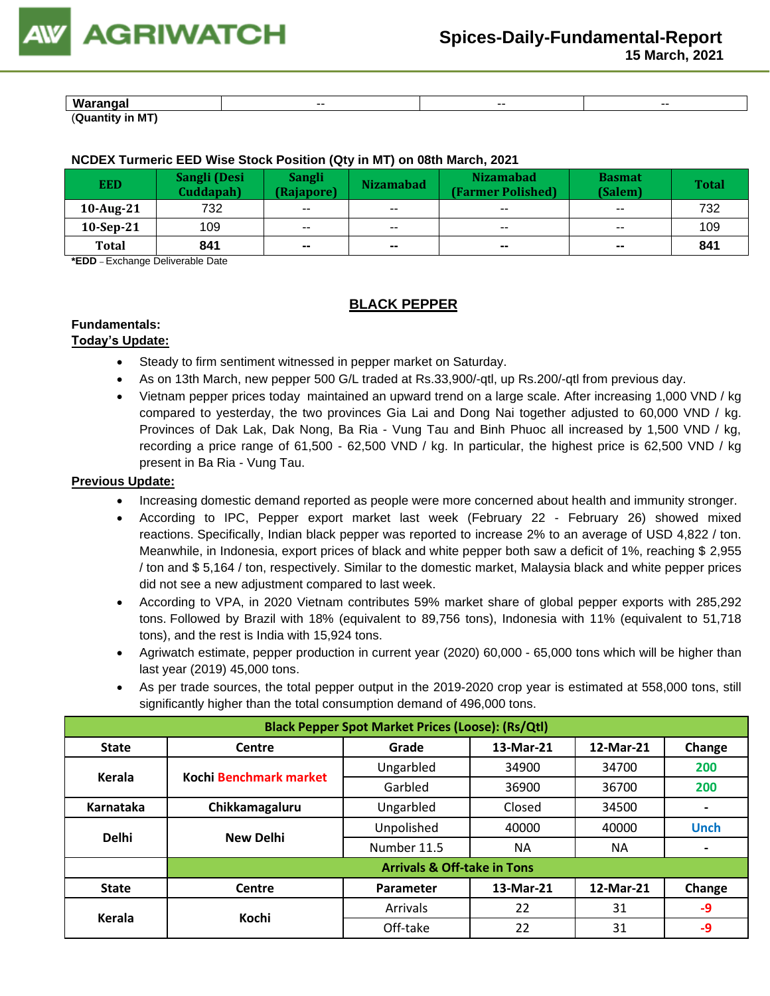**15 March, 2021**

| Warar<br>----<br>чч | $- -$ | -- | --- |
|---------------------|-------|----|-----|
| .<br>۔ ـ<br>M       |       |    |     |

### **NCDEX Turmeric EED Wise Stock Position (Qty in MT) on 08th March, 2021**

| <b>EED</b>   | Sangli (Desi<br>Cuddapah) | <b>Sangli</b><br>(Rajapore) | <b>Nizamabad</b>         | <b>Nizamabad</b><br>(Farmer Polished) | <b>Basmat</b><br>(Salem) | <b>Total</b> |
|--------------|---------------------------|-----------------------------|--------------------------|---------------------------------------|--------------------------|--------------|
| $10$ -Aug-21 | 732                       | $\sim$ $\sim$               | $\sim$ $\sim$            | $- -$                                 | $-$                      | 732          |
| $10-Sep-21$  | 109                       | $- -$                       | $- -$                    | $- -$                                 | $\sim$ $\sim$            | 109          |
| <b>Total</b> | 841                       | $- -$                       | $\overline{\phantom{a}}$ | $\sim$                                | $\sim$                   | 841          |

**\*EDD** – Exchange Deliverable Date

### **BLACK PEPPER**

### **Fundamentals:**

### **Today's Update:**

- Steady to firm sentiment witnessed in pepper market on Saturday.
- As on 13th March, new pepper 500 G/L traded at Rs.33,900/-qtl, up Rs.200/-qtl from previous day.
- Vietnam [pepper prices today](https://translate.google.com/website?sl=vi&tl=en&u=https://vietnambiz.vn/gia-tieu-hom-nay.html) maintained an upward trend on a large scale. After increasing 1,000 VND / kg compared to yesterday, the two provinces Gia Lai and Dong Nai together adjusted to 60,000 VND / kg. Provinces of Dak Lak, Dak Nong, Ba Ria - Vung Tau and Binh Phuoc all increased by 1,500 VND / kg, recording a price range of 61,500 - 62,500 VND / kg. In particular, the highest price is 62,500 VND / kg present in Ba Ria - Vung Tau.

- Increasing domestic demand reported as people were more concerned about health and immunity stronger.
- According to IPC, Pepper export market last week (February 22 February 26) showed mixed reactions. Specifically, Indian black pepper was reported to increase 2% to an average of USD 4,822 / ton. Meanwhile, in Indonesia, export prices of black and white pepper both saw a deficit of 1%, reaching \$ 2,955 / ton and \$ 5,164 / ton, respectively. Similar to the domestic market, Malaysia black and white pepper prices did not see a new adjustment compared to last week.
- According to VPA, in 2020 Vietnam contributes 59% market share of global pepper exports with 285,292 tons. Followed by Brazil with 18% (equivalent to 89,756 tons), Indonesia with 11% (equivalent to 51,718 tons), and the rest is India with 15,924 tons.
- Agriwatch estimate, pepper production in current year (2020) 60,000 65,000 tons which will be higher than last year (2019) 45,000 tons.
- As per trade sources, the total pepper output in the 2019-2020 crop year is estimated at 558,000 tons, still significantly higher than the total consumption demand of 496,000 tons.

|              | <b>Black Pepper Spot Market Prices (Loose): (Rs/Qtl)</b> |                                        |           |           |             |  |  |  |  |
|--------------|----------------------------------------------------------|----------------------------------------|-----------|-----------|-------------|--|--|--|--|
| <b>State</b> | 13-Mar-21<br>Grade<br>Change<br>Centre<br>12-Mar-21      |                                        |           |           |             |  |  |  |  |
| Kerala       | Kochi Benchmark market                                   | Ungarbled                              | 34900     | 34700     | 200         |  |  |  |  |
|              |                                                          | Garbled                                | 36900     | 36700     | 200         |  |  |  |  |
| Karnataka    | Chikkamagaluru                                           | Ungarbled                              | Closed    | 34500     |             |  |  |  |  |
| <b>Delhi</b> | New Delhi                                                | Unpolished                             | 40000     | 40000     | <b>Unch</b> |  |  |  |  |
|              |                                                          | Number 11.5                            | ΝA        | <b>NA</b> |             |  |  |  |  |
|              |                                                          | <b>Arrivals &amp; Off-take in Tons</b> |           |           |             |  |  |  |  |
| <b>State</b> | Centre                                                   | Parameter                              | 13-Mar-21 | 12-Mar-21 | Change      |  |  |  |  |
| Kerala       | Kochi                                                    | Arrivals                               | 22        | 31        | $-9$        |  |  |  |  |
|              |                                                          | Off-take                               | 22        | 31        | -9          |  |  |  |  |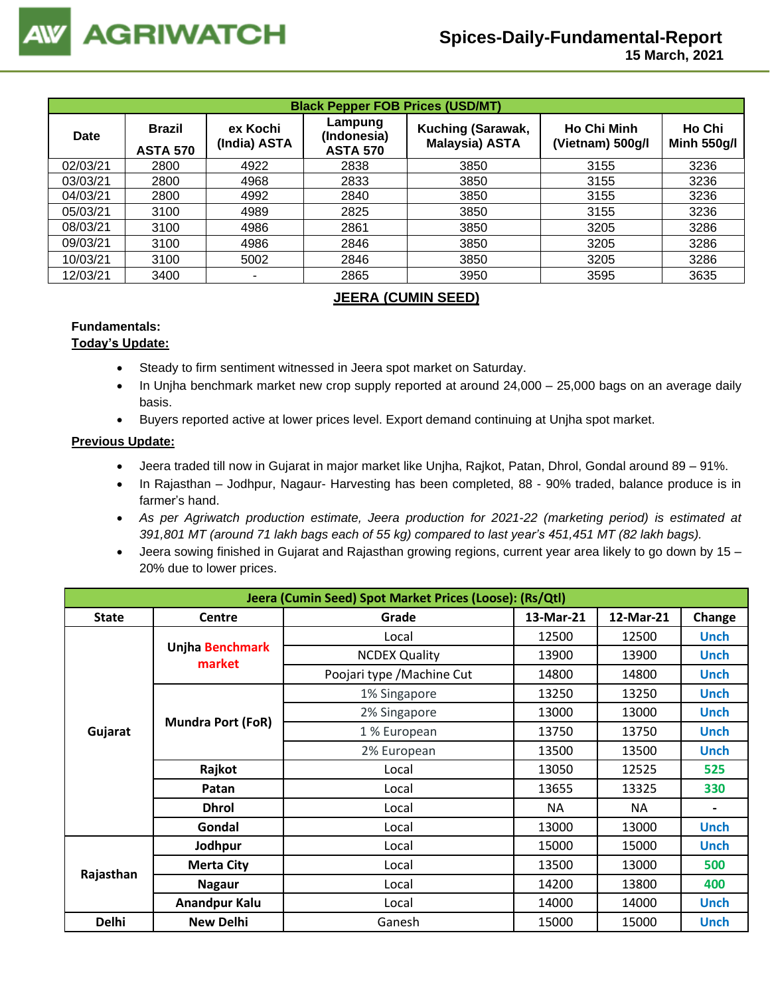| <b>Black Pepper FOB Prices (USD/MT)</b> |                                  |                          |                                           |                                            |                                        |                              |  |  |
|-----------------------------------------|----------------------------------|--------------------------|-------------------------------------------|--------------------------------------------|----------------------------------------|------------------------------|--|--|
| Date                                    | <b>Brazil</b><br><b>ASTA 570</b> | ex Kochi<br>(India) ASTA | Lampung<br>(Indonesia)<br><b>ASTA 570</b> | Kuching (Sarawak,<br><b>Malaysia) ASTA</b> | <b>Ho Chi Minh</b><br>(Vietnam) 500g/l | Ho Chi<br><b>Minh 550g/l</b> |  |  |
| 02/03/21                                | 2800                             | 4922                     | 2838                                      | 3850                                       | 3155                                   | 3236                         |  |  |
| 03/03/21                                | 2800                             | 4968                     | 2833                                      | 3850                                       | 3155                                   | 3236                         |  |  |
| 04/03/21                                | 2800                             | 4992                     | 2840                                      | 3850                                       | 3155                                   | 3236                         |  |  |
| 05/03/21                                | 3100                             | 4989                     | 2825                                      | 3850                                       | 3155                                   | 3236                         |  |  |
| 08/03/21                                | 3100                             | 4986                     | 2861                                      | 3850                                       | 3205                                   | 3286                         |  |  |
| 09/03/21                                | 3100                             | 4986                     | 2846                                      | 3850                                       | 3205                                   | 3286                         |  |  |
| 10/03/21                                | 3100                             | 5002                     | 2846                                      | 3850                                       | 3205                                   | 3286                         |  |  |
| 12/03/21                                | 3400                             | ٠                        | 2865                                      | 3950                                       | 3595                                   | 3635                         |  |  |

### **JEERA (CUMIN SEED)**

### **Fundamentals:**

### **Today's Update:**

- Steady to firm sentiment witnessed in Jeera spot market on Saturday.
- In Unjha benchmark market new crop supply reported at around 24,000 25,000 bags on an average daily basis.
- Buyers reported active at lower prices level. Export demand continuing at Unjha spot market.

- Jeera traded till now in Gujarat in major market like Unjha, Rajkot, Patan, Dhrol, Gondal around 89 91%.
- In Rajasthan Jodhpur, Nagaur- Harvesting has been completed, 88 90% traded, balance produce is in farmer's hand.
- *As per Agriwatch production estimate, Jeera production for 2021-22 (marketing period) is estimated at 391,801 MT (around 71 lakh bags each of 55 kg) compared to last year's 451,451 MT (82 lakh bags).*
- Jeera sowing finished in Gujarat and Rajasthan growing regions, current year area likely to go down by 15 20% due to lower prices.

| Jeera (Cumin Seed) Spot Market Prices (Loose): (Rs/Qtl) |                           |                            |           |           |             |  |  |  |  |
|---------------------------------------------------------|---------------------------|----------------------------|-----------|-----------|-------------|--|--|--|--|
| <b>State</b>                                            | Centre                    | Grade                      | 13-Mar-21 | 12-Mar-21 | Change      |  |  |  |  |
|                                                         |                           | Local                      | 12500     | 12500     | <b>Unch</b> |  |  |  |  |
|                                                         | Unjha Benchmark<br>market | <b>NCDEX Quality</b>       | 13900     | 13900     | <b>Unch</b> |  |  |  |  |
|                                                         |                           | Poojari type / Machine Cut | 14800     | 14800     | <b>Unch</b> |  |  |  |  |
|                                                         |                           | 1% Singapore               | 13250     | 13250     | <b>Unch</b> |  |  |  |  |
|                                                         |                           | 2% Singapore               | 13000     | 13000     | <b>Unch</b> |  |  |  |  |
| Gujarat                                                 | <b>Mundra Port (FoR)</b>  | 1 % European               | 13750     | 13750     | <b>Unch</b> |  |  |  |  |
|                                                         |                           | 2% European                | 13500     | 13500     | <b>Unch</b> |  |  |  |  |
|                                                         | Rajkot                    | Local                      | 13050     | 12525     | 525         |  |  |  |  |
|                                                         | Patan                     | Local                      | 13655     | 13325     | 330         |  |  |  |  |
|                                                         | <b>Dhrol</b>              | Local                      | <b>NA</b> | <b>NA</b> |             |  |  |  |  |
|                                                         | Gondal                    | Local                      | 13000     | 13000     | <b>Unch</b> |  |  |  |  |
|                                                         | Jodhpur                   | Local                      | 15000     | 15000     | <b>Unch</b> |  |  |  |  |
|                                                         | <b>Merta City</b>         | Local                      | 13500     | 13000     | 500         |  |  |  |  |
| Rajasthan                                               | <b>Nagaur</b>             | Local                      | 14200     | 13800     | 400         |  |  |  |  |
|                                                         | Anandpur Kalu             | Local                      | 14000     | 14000     | <b>Unch</b> |  |  |  |  |
| <b>Delhi</b>                                            | <b>New Delhi</b>          | Ganesh                     | 15000     | 15000     | <b>Unch</b> |  |  |  |  |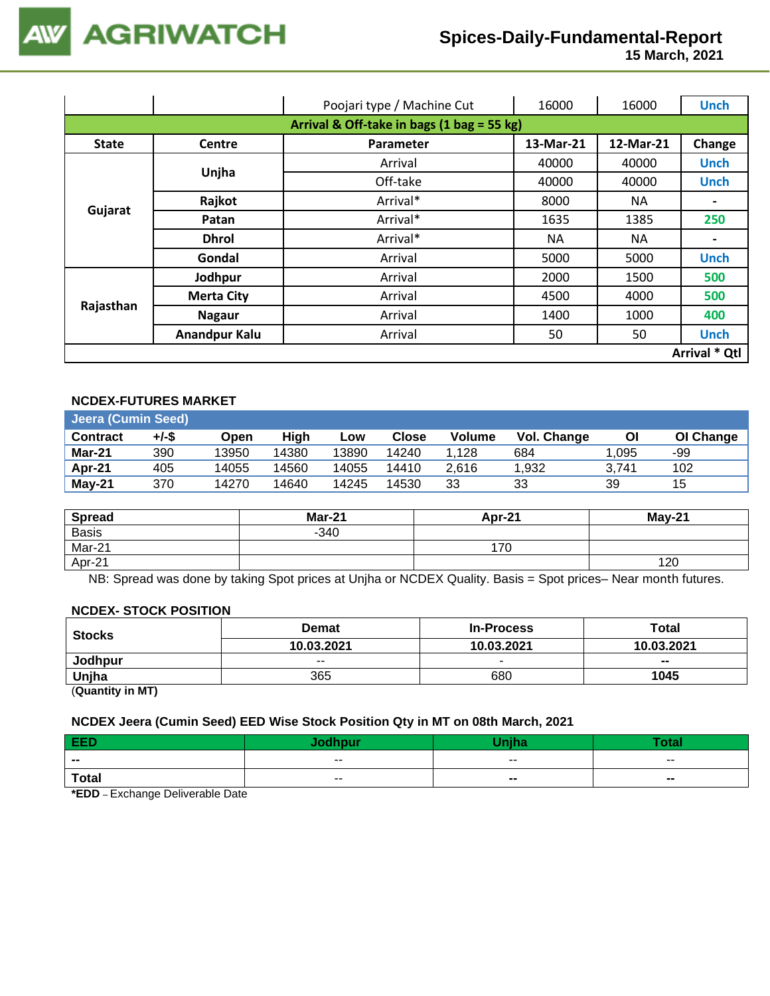

 **15 March, 2021**

|                                            |                      | Poojari type / Machine Cut | 16000     | 16000     | <b>Unch</b>                  |  |  |  |
|--------------------------------------------|----------------------|----------------------------|-----------|-----------|------------------------------|--|--|--|
| Arrival & Off-take in bags (1 bag = 55 kg) |                      |                            |           |           |                              |  |  |  |
| <b>State</b>                               | <b>Centre</b>        | Parameter                  | 13-Mar-21 | 12-Mar-21 | Change                       |  |  |  |
|                                            | Unjha                | Arrival                    | 40000     | 40000     | <b>Unch</b>                  |  |  |  |
|                                            |                      | Off-take                   | 40000     | 40000     | <b>Unch</b>                  |  |  |  |
| Gujarat                                    | Rajkot               | Arrival*                   | 8000      | NA.       |                              |  |  |  |
|                                            | Patan                | Arrival*                   | 1635      | 1385      | 250                          |  |  |  |
|                                            | <b>Dhrol</b>         | Arrival*                   | <b>NA</b> | <b>NA</b> | $\qquad \qquad \blacksquare$ |  |  |  |
|                                            | Gondal               | Arrival                    | 5000      | 5000      | <b>Unch</b>                  |  |  |  |
|                                            | Jodhpur              | Arrival                    | 2000      | 1500      | 500                          |  |  |  |
|                                            | <b>Merta City</b>    | Arrival                    | 4500      | 4000      | 500                          |  |  |  |
| Rajasthan                                  | <b>Nagaur</b>        | Arrival                    | 1400      | 1000      | 400                          |  |  |  |
|                                            | <b>Anandpur Kalu</b> | Arrival                    | 50        | 50        | <b>Unch</b>                  |  |  |  |
|                                            | Arrival * Qtl        |                            |           |           |                              |  |  |  |

### **NCDEX-FUTURES MARKET**

| <b>Jeera (Cumin Seed)</b> |       |       |       |       |       |        |             |       |           |
|---------------------------|-------|-------|-------|-------|-------|--------|-------------|-------|-----------|
| <b>Contract</b>           | +/-\$ | Open  | High  | Low   | Close | Volume | Vol. Change | Οl    | OI Change |
| Mar-21                    | 390   | 13950 | 14380 | 13890 | 14240 | 1.128  | 684         | 1.095 | -99       |
| Apr-21                    | 405   | 14055 | 14560 | 14055 | 14410 | 2.616  | 1.932       | 3.741 | 102       |
| $May-21$                  | 370   | 14270 | 14640 | 14245 | 14530 | 33     | 33          | 39    | 15        |

| <b>Spread</b> | <b>Mar-21</b> | Apr-21 | <b>May-21</b> |
|---------------|---------------|--------|---------------|
| <b>Basis</b>  | $-340$        |        |               |
| Mar-21        |               | 170    |               |
| Apr-21        |               |        | 120           |

NB: Spread was done by taking Spot prices at Unjha or NCDEX Quality. Basis = Spot prices– Near month futures.

#### **NCDEX- STOCK POSITION**

| <b>Stocks</b> | <b>Demat</b> | <b>In-Process</b> | Total                    |  |
|---------------|--------------|-------------------|--------------------------|--|
|               | 10.03.2021   | 10.03.2021        | 10.03.2021               |  |
| Jodhpur       | $- -$        |                   | $\overline{\phantom{a}}$ |  |
| Unjha         | 365          | 680               | 1045                     |  |
| $\sim$ $\sim$ |              |                   |                          |  |

(**Quantity in MT)**

### **NCDEX Jeera (Cumin Seed) EED Wise Stock Position Qty in MT on 08th March, 2021**

| EED                      | <b>Solbnur</b> | <b>The Bar</b> | <b>Total</b> |
|--------------------------|----------------|----------------|--------------|
| $\overline{\phantom{a}}$ | $- -$          | $- -$          | $- -$        |
| <b>Total</b>             | $\sim$ $\sim$  | $\sim$         | $\sim$       |

**\*EDD** – Exchange Deliverable Date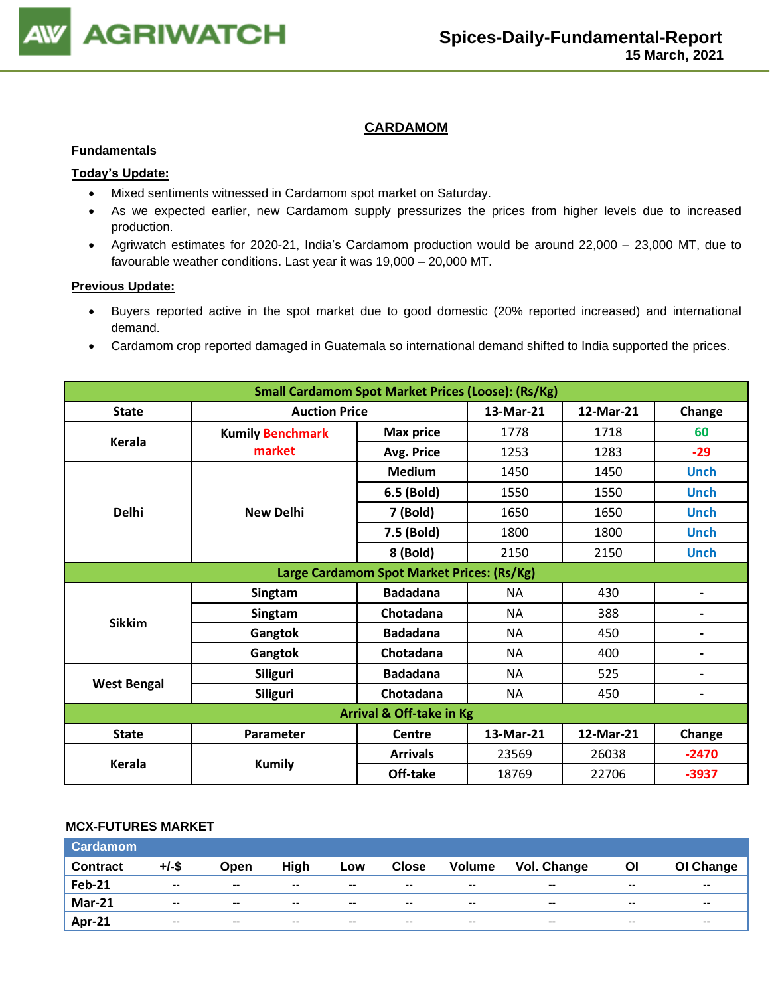

### **CARDAMOM**

#### **Fundamentals**

### **Today's Update:**

- Mixed sentiments witnessed in Cardamom spot market on Saturday.
- As we expected earlier, new Cardamom supply pressurizes the prices from higher levels due to increased production.
- Agriwatch estimates for 2020-21, India's Cardamom production would be around 22,000 23,000 MT, due to favourable weather conditions. Last year it was 19,000 – 20,000 MT.

#### **Previous Update:**

- Buyers reported active in the spot market due to good domestic (20% reported increased) and international demand.
- Cardamom crop reported damaged in Guatemala so international demand shifted to India supported the prices.

| <b>Small Cardamom Spot Market Prices (Loose): (Rs/Kg)</b> |                         |                                            |           |           |                |  |
|-----------------------------------------------------------|-------------------------|--------------------------------------------|-----------|-----------|----------------|--|
| <b>State</b>                                              | <b>Auction Price</b>    |                                            | 13-Mar-21 | 12-Mar-21 | Change         |  |
|                                                           | <b>Kumily Benchmark</b> | <b>Max price</b>                           | 1778      | 1718      | 60             |  |
| Kerala                                                    | market                  | Avg. Price                                 | 1253      | 1283      | $-29$          |  |
|                                                           |                         | <b>Medium</b>                              | 1450      | 1450      | <b>Unch</b>    |  |
|                                                           |                         | 6.5 (Bold)                                 | 1550      | 1550      | <b>Unch</b>    |  |
| <b>Delhi</b>                                              | <b>New Delhi</b>        | 7 (Bold)                                   | 1650      | 1650      | <b>Unch</b>    |  |
|                                                           |                         | 7.5 (Bold)                                 | 1800      | 1800      | <b>Unch</b>    |  |
|                                                           |                         | 8 (Bold)                                   | 2150      | 2150      | <b>Unch</b>    |  |
|                                                           |                         | Large Cardamom Spot Market Prices: (Rs/Kg) |           |           |                |  |
|                                                           | Singtam                 | <b>Badadana</b>                            | <b>NA</b> | 430       | -              |  |
| <b>Sikkim</b>                                             | Singtam                 | Chotadana                                  | <b>NA</b> | 388       |                |  |
|                                                           | Gangtok                 | <b>Badadana</b>                            | <b>NA</b> | 450       | -              |  |
|                                                           | Gangtok                 | Chotadana                                  | <b>NA</b> | 400       | $\blacksquare$ |  |
|                                                           | <b>Siliguri</b>         | <b>Badadana</b>                            | <b>NA</b> | 525       | -              |  |
| <b>West Bengal</b>                                        | <b>Siliguri</b>         | Chotadana                                  | <b>NA</b> | 450       | -              |  |
|                                                           |                         | <b>Arrival &amp; Off-take in Kg</b>        |           |           |                |  |
| <b>State</b>                                              | <b>Parameter</b>        | <b>Centre</b>                              | 13-Mar-21 | 12-Mar-21 | Change         |  |
|                                                           |                         | <b>Arrivals</b>                            | 23569     | 26038     | $-2470$        |  |
| <b>Kerala</b>                                             | <b>Kumily</b>           | Off-take                                   | 18769     | 22706     | $-3937$        |  |

#### **MCX-FUTURES MARKET**

| <b>Cardamom</b> |       |                          |       |       |                          |               |                    |       |           |
|-----------------|-------|--------------------------|-------|-------|--------------------------|---------------|--------------------|-------|-----------|
| <b>Contract</b> | +/-\$ | Open                     | High  | Low   | <b>Close</b>             | <b>Volume</b> | <b>Vol. Change</b> | Οl    | OI Change |
| <b>Feb-21</b>   | $- -$ | $\overline{\phantom{a}}$ | $- -$ | $- -$ | $\overline{\phantom{a}}$ | $- -$         | $- -$              | $- -$ | $-$       |
| <b>Mar-21</b>   | $- -$ | $-$                      | $- -$ | $- -$ | $- -$                    | $- -$         | $- -$              | $- -$ | $- -$     |
| Apr-21          | $- -$ | $\overline{\phantom{a}}$ | $- -$ | $- -$ | $\overline{\phantom{a}}$ | $- -$         | $- -$              | $- -$ | $- -$     |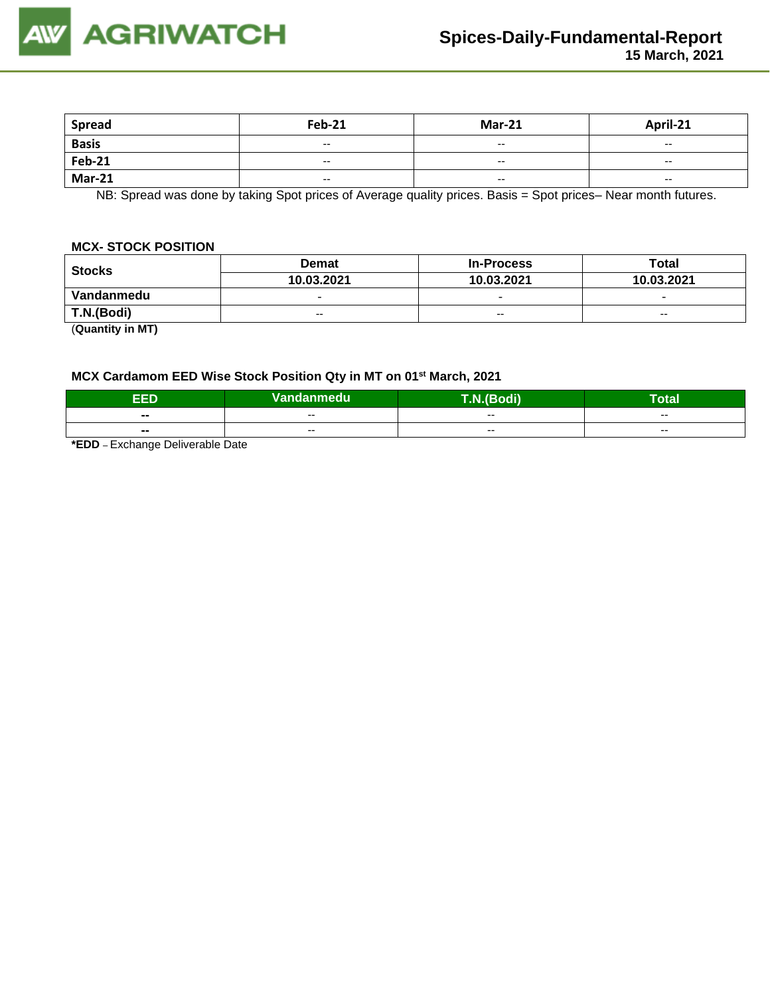

| <b>Spread</b> | <b>Feb-21</b>            | <b>Mar-21</b>            | April-21                 |
|---------------|--------------------------|--------------------------|--------------------------|
| <b>Basis</b>  | $\overline{\phantom{a}}$ | $\overline{\phantom{a}}$ | $\overline{\phantom{a}}$ |
| <b>Feb-21</b> | $- -$                    | $\overline{\phantom{a}}$ | $- -$                    |
| <b>Mar-21</b> | $\overline{\phantom{a}}$ | $\overline{\phantom{a}}$ | $\overline{\phantom{a}}$ |

NB: Spread was done by taking Spot prices of Average quality prices. Basis = Spot prices– Near month futures.

#### **MCX- STOCK POSITION**

| <b>Stocks</b> | <b>Demat</b>             | <b>In-Process</b>        | Total                    |  |
|---------------|--------------------------|--------------------------|--------------------------|--|
|               | 10.03.2021               | 10.03.2021               | 10.03.2021               |  |
| Vandanmedu    | $\overline{\phantom{0}}$ | $\overline{\phantom{0}}$ | $\overline{\phantom{0}}$ |  |
| T.N.(Bodi)    | $- -$                    | $- -$                    | $- -$                    |  |
| (0.0001)      |                          |                          |                          |  |

(**Quantity in MT)**

### **MCX Cardamom EED Wise Stock Position Qty in MT on 01st March, 2021**

| EED   | Vandanmedu | .N.(Bodi) | Total |
|-------|------------|-----------|-------|
| $- -$ | $- -$      | $- -$     | $- -$ |
| --    | $- -$      | $- -$     | $-$   |

**\*EDD** – Exchange Deliverable Date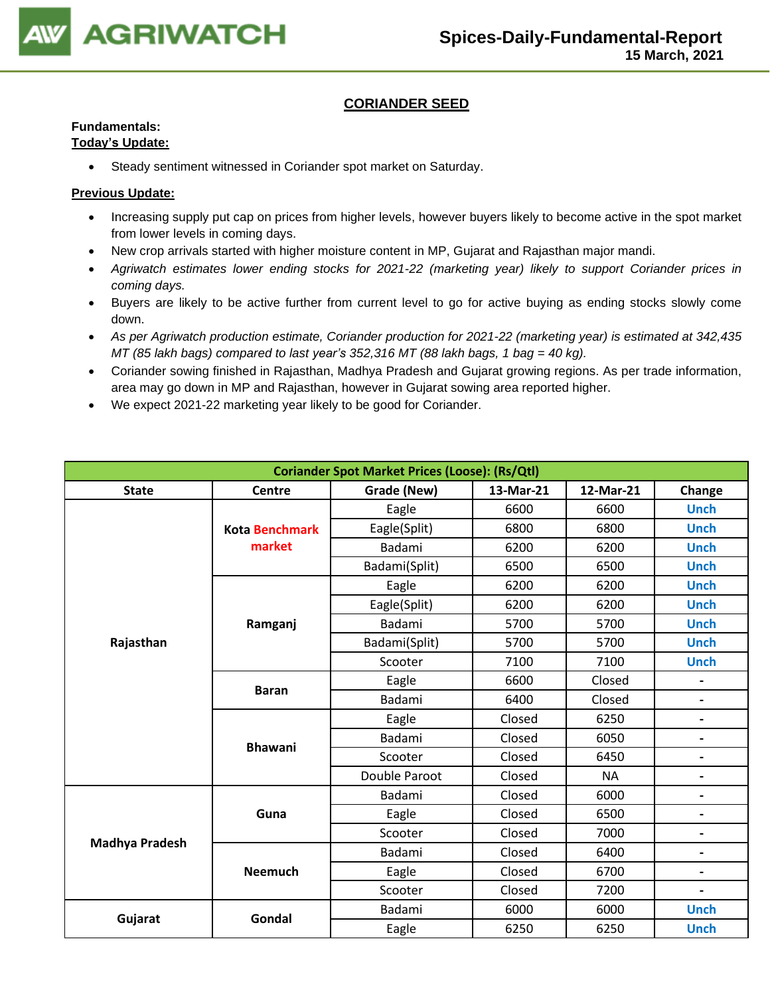

### **CORIANDER SEED**

## **Fundamentals:**

### **Today's Update:**

• Steady sentiment witnessed in Coriander spot market on Saturday.

- Increasing supply put cap on prices from higher levels, however buyers likely to become active in the spot market from lower levels in coming days.
- New crop arrivals started with higher moisture content in MP, Gujarat and Rajasthan major mandi.
- *Agriwatch estimates lower ending stocks for 2021-22 (marketing year) likely to support Coriander prices in coming days.*
- Buyers are likely to be active further from current level to go for active buying as ending stocks slowly come down.
- *As per Agriwatch production estimate, Coriander production for 2021-22 (marketing year) is estimated at 342,435 MT (85 lakh bags) compared to last year's 352,316 MT (88 lakh bags, 1 bag = 40 kg).*
- Coriander sowing finished in Rajasthan, Madhya Pradesh and Gujarat growing regions. As per trade information, area may go down in MP and Rajasthan, however in Gujarat sowing area reported higher.
- We expect 2021-22 marketing year likely to be good for Coriander.

|                       |                       | <b>Coriander Spot Market Prices (Loose): (Rs/Qtl)</b> |           |           |                              |
|-----------------------|-----------------------|-------------------------------------------------------|-----------|-----------|------------------------------|
| <b>State</b>          | Centre                | Grade (New)                                           | 13-Mar-21 | 12-Mar-21 | Change                       |
|                       |                       | Eagle                                                 | 6600      | 6600      | <b>Unch</b>                  |
|                       | <b>Kota Benchmark</b> | Eagle(Split)                                          | 6800      | 6800      | <b>Unch</b>                  |
|                       | market                | Badami                                                | 6200      | 6200      | <b>Unch</b>                  |
|                       |                       | Badami(Split)                                         | 6500      | 6500      | <b>Unch</b>                  |
|                       |                       | Eagle                                                 | 6200      | 6200      | <b>Unch</b>                  |
|                       |                       | Eagle(Split)                                          | 6200      | 6200      | <b>Unch</b>                  |
|                       | Ramganj               | <b>Badami</b>                                         | 5700      | 5700      | <b>Unch</b>                  |
| Rajasthan             |                       | Badami(Split)                                         | 5700      | 5700      | <b>Unch</b>                  |
|                       |                       | Scooter                                               | 7100      | 7100      | <b>Unch</b>                  |
|                       | <b>Baran</b>          | Eagle                                                 | 6600      | Closed    | $\overline{\phantom{0}}$     |
|                       |                       | <b>Badami</b>                                         | 6400      | Closed    |                              |
|                       | <b>Bhawani</b>        | Eagle                                                 | Closed    | 6250      | $\overline{\phantom{0}}$     |
|                       |                       | Badami                                                | Closed    | 6050      | $\qquad \qquad \blacksquare$ |
|                       |                       | Scooter                                               | Closed    | 6450      | $\overline{\phantom{0}}$     |
|                       |                       | Double Paroot                                         | Closed    | <b>NA</b> | $\overline{\phantom{0}}$     |
|                       |                       | Badami                                                | Closed    | 6000      | $\overline{\phantom{0}}$     |
|                       | Guna                  | Eagle                                                 | Closed    | 6500      | $\overline{\phantom{0}}$     |
|                       |                       | Scooter                                               | Closed    | 7000      | $\overline{\phantom{0}}$     |
| <b>Madhya Pradesh</b> |                       | Badami                                                | Closed    | 6400      | $\qquad \qquad \blacksquare$ |
|                       | <b>Neemuch</b>        | Eagle                                                 | Closed    | 6700      | $\qquad \qquad \blacksquare$ |
|                       |                       | Scooter                                               | Closed    | 7200      | $\overline{\phantom{0}}$     |
|                       |                       | Badami                                                | 6000      | 6000      | <b>Unch</b>                  |
| Gujarat               | Gondal                | Eagle                                                 | 6250      | 6250      | <b>Unch</b>                  |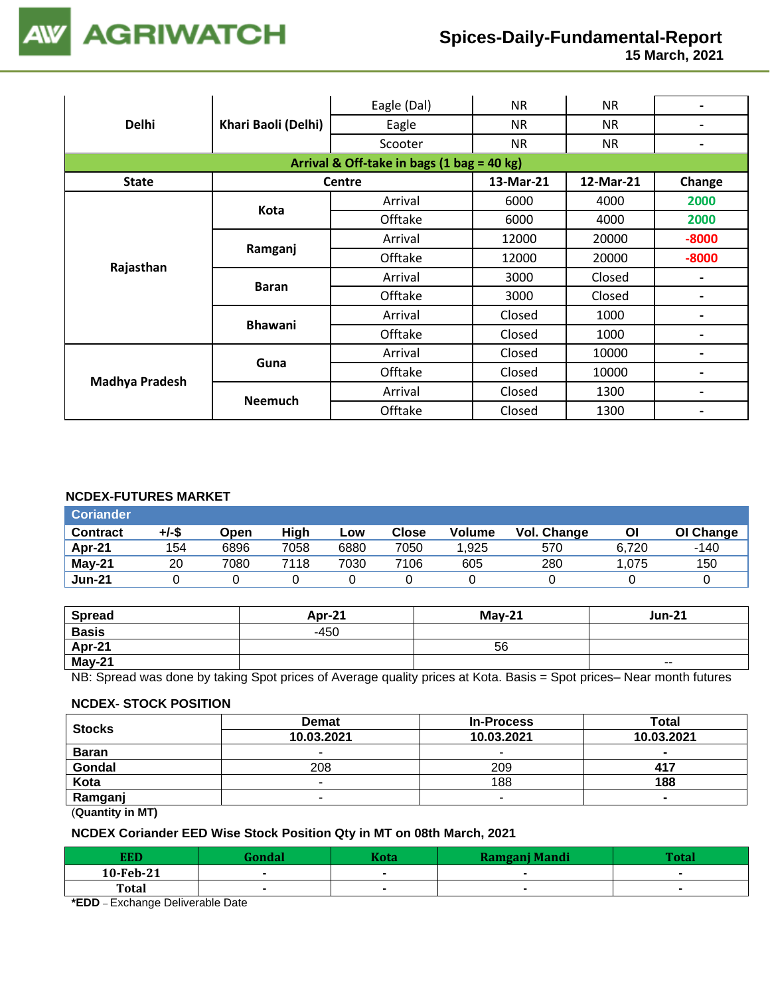

 **15 March, 2021**

|                       |                     | Eagle (Dal)                                | <b>NR</b> | <b>NR</b> | $\overline{\phantom{0}}$ |
|-----------------------|---------------------|--------------------------------------------|-----------|-----------|--------------------------|
| <b>Delhi</b>          | Khari Baoli (Delhi) | Eagle                                      | <b>NR</b> | <b>NR</b> | $\overline{\phantom{0}}$ |
|                       |                     | Scooter                                    | <b>NR</b> | <b>NR</b> | $\blacksquare$           |
|                       |                     | Arrival & Off-take in bags (1 bag = 40 kg) |           |           |                          |
| <b>State</b>          |                     | <b>Centre</b>                              | 13-Mar-21 | 12-Mar-21 | Change                   |
|                       |                     | Arrival                                    | 6000      | 4000      | 2000                     |
|                       | Kota                | Offtake                                    | 6000      | 4000      | 2000                     |
| Rajasthan             | Ramganj             | Arrival                                    | 12000     | 20000     | $-8000$                  |
|                       |                     | Offtake                                    | 12000     | 20000     | $-8000$                  |
|                       | <b>Baran</b>        | Arrival                                    | 3000      | Closed    | $\overline{\phantom{0}}$ |
|                       |                     | Offtake                                    | 3000      | Closed    | $\overline{\phantom{0}}$ |
|                       | <b>Bhawani</b>      | Arrival                                    | Closed    | 1000      |                          |
|                       |                     | Offtake                                    | Closed    | 1000      | $\overline{\phantom{0}}$ |
|                       |                     | Arrival                                    | Closed    | 10000     |                          |
| <b>Madhya Pradesh</b> | Guna                | Offtake                                    | Closed    | 10000     | $\blacksquare$           |
|                       |                     | Arrival                                    | Closed    | 1300      | $\blacksquare$           |
|                       | <b>Neemuch</b>      | Offtake                                    | Closed    | 1300      | $\blacksquare$           |

#### **NCDEX-FUTURES MARKET**

| <b>Coriander</b> |       |      |      |      |       |               |             |       |           |
|------------------|-------|------|------|------|-------|---------------|-------------|-------|-----------|
| <b>Contract</b>  | +/-\$ | Open | High | Low  | Close | <b>Volume</b> | Vol. Change | ΟI    | OI Change |
| Apr-21           | 154   | 6896 | 7058 | 6880 | 7050  | 1,925         | 570         | 6.720 | -140      |
| $May-21$         | 20    | 7080 | 7118 | 7030 | 7106  | 605           | 280         | .075  | 150       |
| <b>Jun-21</b>    |       |      |      |      |       |               |             |       |           |

| <b>Spread</b> | Apr-21 | $May-21$ | <b>Jun-21</b> |
|---------------|--------|----------|---------------|
| <b>Basis</b>  | $-450$ |          |               |
| Apr-21        |        | 56       |               |
| May-21        |        |          | $\sim$ $\sim$ |

NB: Spread was done by taking Spot prices of Average quality prices at Kota. Basis = Spot prices– Near month futures

#### **NCDEX- STOCK POSITION**

| <b>Stocks</b>                                                                                                                                                                                                                                                                                                                      | <b>Demat</b> | <b>In-Process</b>        | <b>Total</b><br>10.03.2021 |  |
|------------------------------------------------------------------------------------------------------------------------------------------------------------------------------------------------------------------------------------------------------------------------------------------------------------------------------------|--------------|--------------------------|----------------------------|--|
|                                                                                                                                                                                                                                                                                                                                    | 10.03.2021   | 10.03.2021               |                            |  |
| <b>Baran</b>                                                                                                                                                                                                                                                                                                                       | -            | $\sim$                   | $\sim$                     |  |
| Gondal                                                                                                                                                                                                                                                                                                                             | 208          | 209                      | 417                        |  |
| Kota                                                                                                                                                                                                                                                                                                                               | -            | 188                      | 188                        |  |
| Ramganj                                                                                                                                                                                                                                                                                                                            | -            | $\overline{\phantom{a}}$ | $\blacksquare$             |  |
| $\mathbf{r}$ $\mathbf{r}$ $\mathbf{r}$ $\mathbf{r}$ $\mathbf{r}$ $\mathbf{r}$ $\mathbf{r}$ $\mathbf{r}$ $\mathbf{r}$ $\mathbf{r}$ $\mathbf{r}$ $\mathbf{r}$ $\mathbf{r}$ $\mathbf{r}$ $\mathbf{r}$ $\mathbf{r}$ $\mathbf{r}$ $\mathbf{r}$ $\mathbf{r}$ $\mathbf{r}$ $\mathbf{r}$ $\mathbf{r}$ $\mathbf{r}$ $\mathbf{r}$ $\mathbf{$ |              |                          |                            |  |

(**Quantity in MT)**

### **NCDEX Coriander EED Wise Stock Position Qty in MT on 08th March, 2021**

| <b>EED</b>   | <b>Sondal</b> | Kota | <b>Ramganj Mandi</b> | $T0+0$ |
|--------------|---------------|------|----------------------|--------|
| 10-Feb-21    |               |      |                      |        |
| <b>Total</b> |               |      |                      |        |
| _ _          |               |      |                      |        |

**\*EDD** – Exchange Deliverable Date